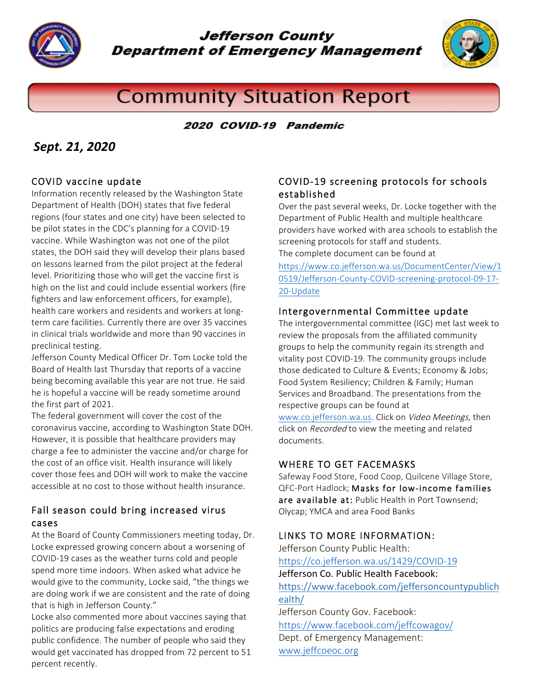

**Jefferson County Department of Emergency Management** 



# **Community Situation Report**

2020 COVID-19 Pandemic

## *Sept. 21, 2020*

#### COVID vaccine update

Information recently released by the Washington State Department of Health (DOH) states that five federal regions (four states and one city) have been selected to be pilot states in the CDC's planning for a COVID-19 vaccine. While Washington was not one of the pilot states, the DOH said they will develop their plans based on lessons learned from the pilot project at the federal level. Prioritizing those who will get the vaccine first is high on the list and could include essential workers (fire fighters and law enforcement officers, for example), health care workers and residents and workers at longterm care facilities. Currently there are over 35 vaccines in clinical trials worldwide and more than 90 vaccines in preclinical testing.

Jefferson County Medical Officer Dr. Tom Locke told the Board of Health last Thursday that reports of a vaccine being becoming available this year are not true. He said he is hopeful a vaccine will be ready sometime around the first part of 2021.

The federal government will cover the cost of the coronavirus vaccine, according to Washington State DOH. However, it is possible that healthcare providers may charge a fee to administer the vaccine and/or charge for the cost of an office visit. Health insurance will likely cover those fees and DOH will work to make the vaccine accessible at no cost to those without health insurance.

#### Fall season could bring increased virus cases

At the Board of County Commissioners meeting today, Dr. Locke expressed growing concern about a worsening of COVID-19 cases as the weather turns cold and people spend more time indoors. When asked what advice he would give to the community, Locke said, "the things we are doing work if we are consistent and the rate of doing that is high in Jefferson County."

Locke also commented more about vaccines saying that politics are producing false expectations and eroding public confidence. The number of people who said they would get vaccinated has dropped from 72 percent to 51 percent recently.

#### COVID-19 screening protocols for schools established

Over the past several weeks, Dr. Locke together with the Department of Public Health and multiple healthcare providers have worked with area schools to establish the screening protocols for staff and students. The complete document can be found at

https://www.co.jefferson.wa.us/DocumentCenter/View/1 0519/Jefferson-County-COVID-screening-protocol-09-17- 20-Update

#### Intergovernmental Committee update

The intergovernmental committee (IGC) met last week to review the proposals from the affiliated community groups to help the community regain its strength and vitality post COVID-19. The community groups include those dedicated to Culture & Events; Economy & Jobs; Food System Resiliency; Children & Family; Human Services and Broadband. The presentations from the respective groups can be found at www.co.jefferson.wa.us. Click on Video Meetings, then click on Recorded to view the meeting and related documents.

#### WHERE TO GET FACEMASKS

Safeway Food Store, Food Coop, Quilcene Village Store, QFC-Port Hadlock; Masks for low-income families are available at: Public Health in Port Townsend; Olycap; YMCA and area Food Banks

#### LINKS TO MORE INFORMATION:

Jefferson County Public Health: https://co.jefferson.wa.us/1429/COVID-19 Jefferson Co. Public Health Facebook: https://www.facebook.com/jeffersoncountypublich ealth/ Jefferson County Gov. Facebook: https://www.facebook.com/jeffcowagov/ Dept. of Emergency Management: www.jeffcoeoc.org